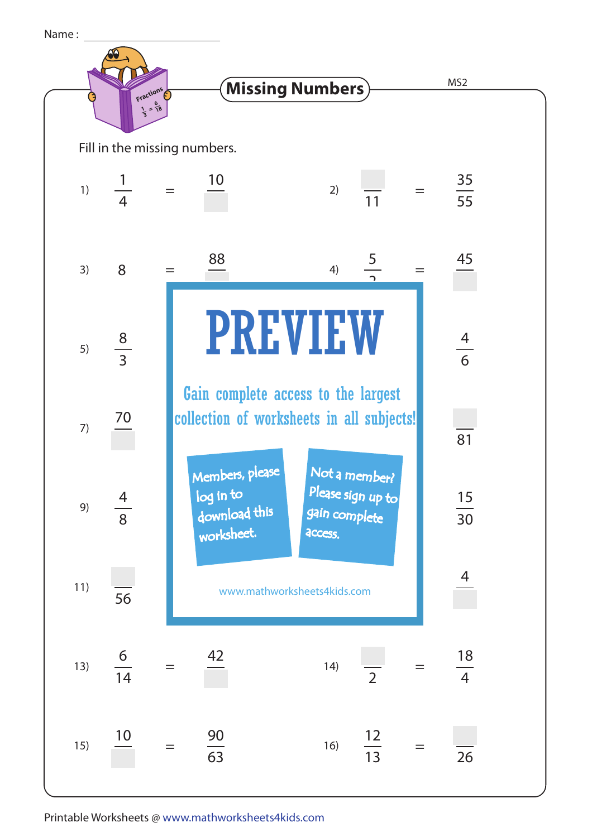